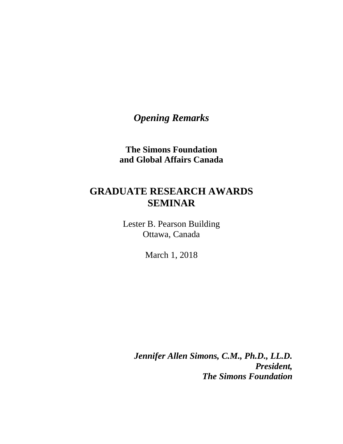*Opening Remarks*

**The Simons Foundation and Global Affairs Canada**

## **GRADUATE RESEARCH AWARDS SEMINAR**

Lester B. Pearson Building Ottawa, Canada

March 1, 2018

*Jennifer Allen Simons, C.M., Ph.D., LL.D. President, The Simons Foundation*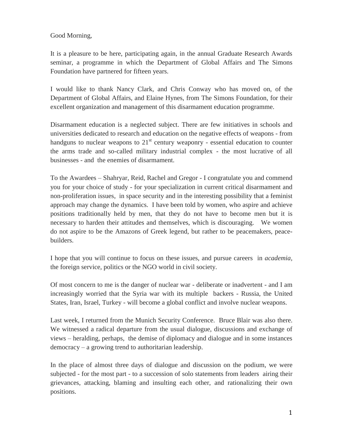## Good Morning,

It is a pleasure to be here, participating again, in the annual Graduate Research Awards seminar, a programme in which the Department of Global Affairs and The Simons Foundation have partnered for fifteen years.

I would like to thank Nancy Clark, and Chris Conway who has moved on, of the Department of Global Affairs, and Elaine Hynes, from The Simons Foundation, for their excellent organization and management of this disarmament education programme.

Disarmament education is a neglected subject. There are few initiatives in schools and universities dedicated to research and education on the negative effects of weapons - from handguns to nuclear weapons to  $21<sup>st</sup>$  century weaponry - essential education to counter the arms trade and so-called military industrial complex - the most lucrative of all businesses - and the enemies of disarmament.

To the Awardees – Shahryar, Reid, Rachel and Gregor - I congratulate you and commend you for your choice of study - for your specialization in current critical disarmament and non-proliferation issues, in space security and in the interesting possibility that a feminist approach may change the dynamics. I have been told by women, who aspire and achieve positions traditionally held by men, that they do not have to become men but it is necessary to harden their attitudes and themselves, which is discouraging. We women do not aspire to be the Amazons of Greek legend, but rather to be peacemakers, peacebuilders.

I hope that you will continue to focus on these issues, and pursue careers in *academia,* the foreign service, politics or the NGO world in civil society.

Of most concern to me is the danger of nuclear war - deliberate or inadvertent - and I am increasingly worried that the Syria war with its multiple backers - Russia, the United States, Iran, Israel, Turkey - will become a global conflict and involve nuclear weapons.

Last week, I returned from the Munich Security Conference. Bruce Blair was also there. We witnessed a radical departure from the usual dialogue, discussions and exchange of views – heralding, perhaps, the demise of diplomacy and dialogue and in some instances democracy – a growing trend to authoritarian leadership.

In the place of almost three days of dialogue and discussion on the podium, we were subjected - for the most part - to a succession of solo statements from leaders airing their grievances, attacking, blaming and insulting each other, and rationalizing their own positions.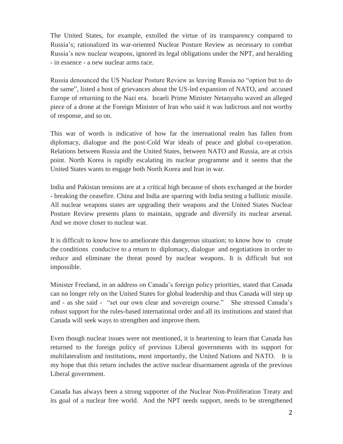The United States, for example, extolled the virtue of its transparency compared to Russia's; rationalized its war-oriented Nuclear Posture Review as necessary to combat Russia's new nuclear weapons, ignored its legal obligations under the NPT, and heralding - in essence - a new nuclear arms race.

Russia denounced the US Nuclear Posture Review as leaving Russia no "option but to do the same", listed a host of grievances about the US-led expansion of NATO, and accused Europe of returning to the Nazi era. Israeli Prime Minister Netanyahu waved an alleged piece of a drone at the Foreign Minister of Iran who said it was ludicrous and not worthy of response, and so on.

This war of words is indicative of how far the international realm has fallen from diplomacy, dialogue and the post-Cold War ideals of peace and global co-operation. Relations between Russia and the United States, between NATO and Russia, are at crisis point. North Korea is rapidly escalating its nuclear programme and it seems that the United States wants to engage both North Korea and Iran in war.

India and Pakistan tensions are at a critical high because of shots exchanged at the border - breaking the ceasefire. China and India are sparring with India testing a ballistic missile. All nuclear weapons states are upgrading their weapons and the United States Nuclear Posture Review presents plans to maintain, upgrade and diversify its nuclear arsenal. And we move closer to nuclear war.

It is difficult to know how to ameliorate this dangerous situation; to know how to create the conditions conducive to a return to diplomacy, dialogue and negotiations in order to reduce and eliminate the threat posed by nuclear weapons. It is difficult but not impossible.

Minister Freeland, in an address on Canada's foreign policy priorities, stated that Canada can no longer rely on the United States for global leadership and thus Canada will step up and - as she said - "set our own clear and sovereign course." She stressed Canada's robust support for the rules-based international order and all its institutions and stated that Canada will seek ways to strengthen and improve them.

Even though nuclear issues were not mentioned, it is heartening to learn that Canada has returned to the foreign policy of previous Liberal governments with its support for multilateralism and institutions, most importantly, the United Nations and NATO. It is my hope that this return includes the active nuclear disarmament agenda of the previous Liberal government.

Canada has always been a strong supporter of the Nuclear Non-Proliferation Treaty and its goal of a nuclear free world. And the NPT needs support, needs to be strengthened